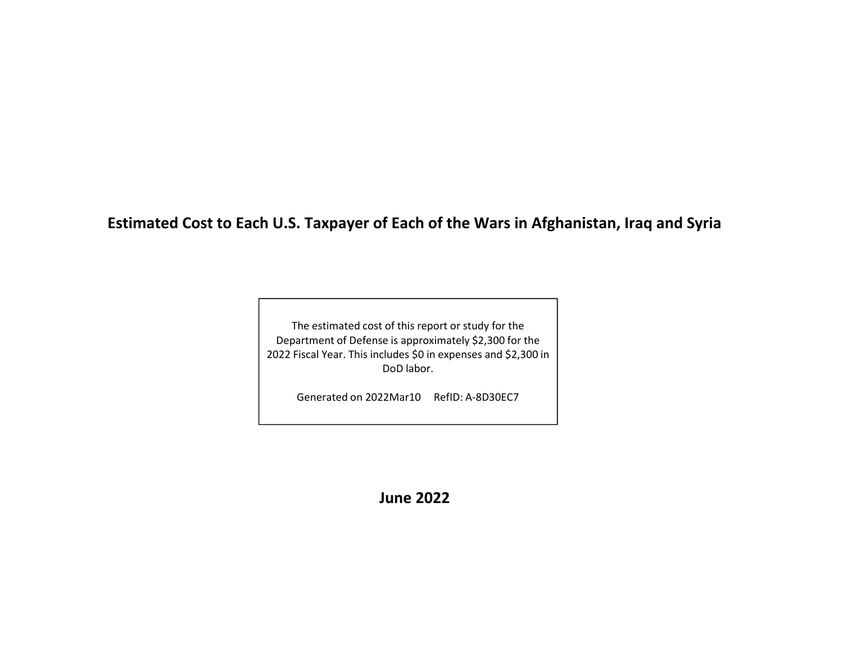**Estimated Cost to Each U.S. Taxpayer of Each of the Wars in Afghanistan, Iraq and Syria**

The estimated cost of this report or study for the Department of Defense is approximately \$2,300 for the 2022 Fiscal Year. This includes \$0 in expenses and \$2,300 in DoD labor.

Generated on 2022Mar10 RefID: A‐8D30EC7

**June 2022**